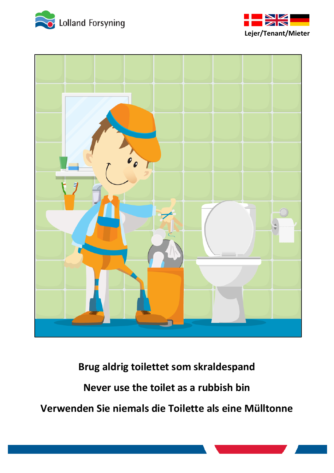





**Brug aldrig toilettet som skraldespand Never use the toilet as a rubbish bin Verwenden Sie niemals die Toilette als eine Mülltonne**